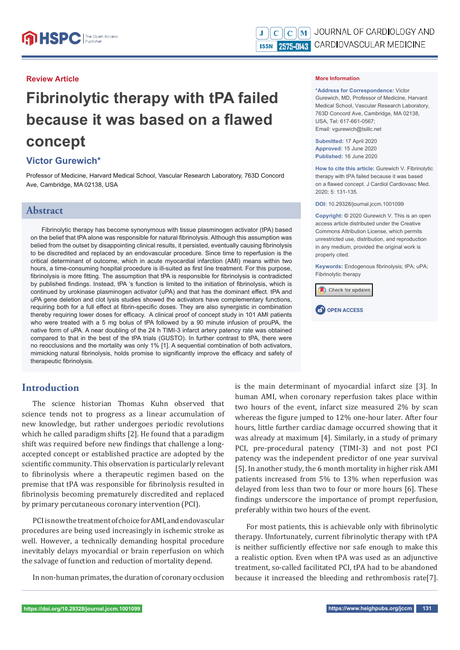#### **Review Article**

# **Fibrinolytic therapy with tPA failed because it was based on a flawed concept**

## **Victor Gurewich\***

Professor of Medicine, Harvard Medical School, Vascular Research Laboratory, 763D Concord Ave, Cambridge, MA 02138, USA

## **Abstract**

Fibrinolytic therapy has become synonymous with tissue plasminogen activator (tPA) based on the belief that tPA alone was responsible for natural fibrinolysis. Although this assumption was belied from the outset by disappointing clinical results, it persisted, eventually causing fibrinolysis to be discredited and replaced by an endovascular procedure. Since time to reperfusion is the critical determinant of outcome, which in acute myocardial infarction (AMI) means within two hours, a time-consuming hospital procedure is ill-suited as first line treatment. For this purpose, fibrinolysis is more fitting. The assumption that tPA is responsible for fibrinolysis is contradicted by published findings. Instead, tPA 's function is limited to the initiation of fibrinolysis, which is continued by urokinase plasminogen activator (uPA) and that has the dominant effect. tPA and uPA gene deletion and clot lysis studies showed the activators have complementary functions, requiring both for a full effect at fibrin-specific doses. They are also synergistic in combination thereby requiring lower doses for efficacy. A clinical proof of concept study in 101 AMI patients who were treated with a 5 mg bolus of tPA followed by a 90 minute infusion of prouPA, the native form of uPA. A near doubling of the 24 h TIMI-3 infarct artery patency rate was obtained compared to that in the best of the tPA trials (GUSTO). In further contrast to tPA, there were no reocclusions and the mortality was only 1% [1]. A sequential combination of both activators, mimicking natural fibrinolysis, holds promise to significantly improve the efficacy and safety of therapeutic fibrinolysis.

# **Introduction**

The science historian Thomas Kuhn observed that science tends not to progress as a linear accumulation of new knowledge, but rather undergoes periodic revolutions which he called paradigm shifts [2]. He found that a paradigm shift was required before new findings that challenge a longaccepted concept or established practice are adopted by the scientific community. This observation is particularly relevant to fibrinolysis where a therapeutic regimen based on the premise that tPA was responsible for fibrinolysis resulted in fibrinolysis becoming prematurely discredited and replaced by primary percutaneous coronary intervention (PCI).

PCI is now the treatment of choice for AMI, and endovascular procedures are being used increasingly in ischemic stroke as well. However, a technically demanding hospital procedure inevitably delays myocardial or brain reperfusion on which the salvage of function and reduction of mortality depend.

In non-human primates, the duration of coronary occlusion

#### **More Information**

**\*Address for Correspondence:** Victor Gurewich, MD, Professor of Medicine, Harvard Medical School, Vascular Research Laboratory, 763D Concord Ave, Cambridge, MA 02138, USA, Tel: 617-661-0567; Email: vgurewich@tsillc.net

**Submitted:** 17 April 2020 **Approved:** 15 June 2020 **Published:** 16 June 2020

**How to cite this article:** Gurewich V. Fibrinolytic therapy with tPA failed because it was based on a flawed concept. J Cardiol Cardiovasc Med. 2020; 5: 131-135.

**DOI:** 10.29328/journal.jccm.1001099

**Copyright: ©** 2020 Gurewich V. This is an open access article distributed under the Creative Commons Attribution License, which permits unrestricted use, distribution, and reproduction in any medium, provided the original work is properly cited.

Keywords: Endogenous fibrinolysis; tPA; uPA; Fibrinolytic therapy





is the main determinant of myocardial infarct size [3]. In human AMI, when coronary reperfusion takes place within two hours of the event, infarct size measured 2% by scan whereas the figure jumped to 12% one-hour later. After four hours, little further cardiac damage occurred showing that it was already at maximum [4]. Similarly, in a study of primary PCI, pre-procedural patency (TIMI-3) and not post PCI patency was the independent predictor of one year survival [5]. In another study, the 6 month mortality in higher risk AMI patients increased from 5% to 13% when reperfusion was delayed from less than two to four or more hours [6]. These findings underscore the importance of prompt reperfusion, preferably within two hours of the event.

For most patients, this is achievable only with fibrinolytic therapy. Unfortunately, current fibrinolytic therapy with tPA is neither sufficiently effective nor safe enough to make this a realistic option. Even when tPA was used as an adjunctive treatment, so-called facilitated PCI, tPA had to be abandoned because it increased the bleeding and rethrombosis rate[7].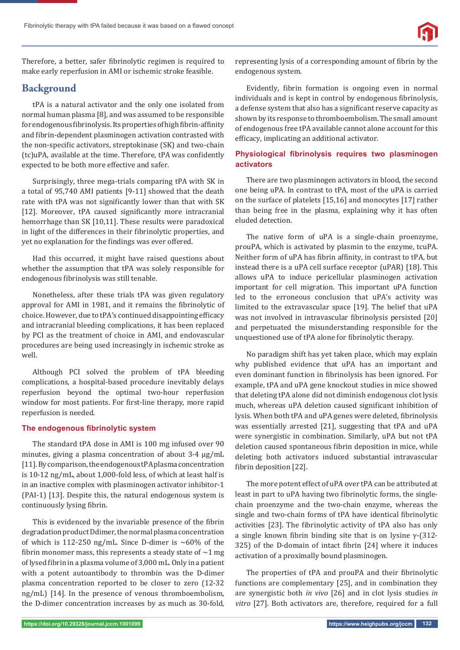

Therefore, a better, safer fibrinolytic regimen is required to make early reperfusion in AMI or ischemic stroke feasible.

# **Background**

tPA is a natural activator and the only one isolated from normal human plasma [8], and was assumed to be responsible for endogenous fibrinolysis. Its properties of high fibrin-affinity and fibrin-dependent plasminogen activation contrasted with the non-specific activators, streptokinase (SK) and two-chain (tc)uPA, available at the time. Therefore, tPA was confidently expected to be both more effective and safer.

Surprisingly, three mega-trials comparing tPA with SK in a total of 95,740 AMI patients [9-11] showed that the death rate with tPA was not significantly lower than that with SK [12]. Moreover, tPA caused significantly more intracranial hemorrhage than SK [10,11]. These results were paradoxical in light of the differences in their fibrinolytic properties, and yet no explanation for the findings was ever offered.

Had this occurred, it might have raised questions about whether the assumption that tPA was solely responsible for endogenous fibrinolysis was still tenable.

Nonetheless, after these trials tPA was given regulatory approval for AMI in 1981, and it remains the fibrinolytic of choice. However, due to tPA's continued disappointing efficacy and intracranial bleeding complications, it has been replaced by PCI as the treatment of choice in AMI, and endovascular procedures are being used increasingly in ischemic stroke as well.

Although PCI solved the problem of tPA bleeding complications, a hospital-based procedure inevitably delays reperfusion beyond the optimal two-hour reperfusion window for most patients. For first-line therapy, more rapid reperfusion is needed.

#### **The endogenous fibrinolytic system**

The standard tPA dose in AMI is 100 mg infused over 90 minutes, giving a plasma concentration of about 3-4 μg/mL [11]. By comparison, the endogenous tPA plasma concentration is 10-12 ng/mL, about 1,000-fold less, of which at least half is in an inactive complex with plasminogen activator inhibitor-1 (PAI-1) [13]. Despite this, the natural endogenous system is continuously lysing fibrin.

This is evidenced by the invariable presence of the fibrin degradation product Ddimer, the normal plasma concentration of which is 112-250 ng/mL. Since D-dimer is  $~60\%$  of the fibrin monomer mass, this represents a steady state of  $\sim$  1 mg of lysed fibrin in a plasma volume of 3,000 mL. Only in a patient with a potent autoantibody to thrombin was the D-dimer plasma concentration reported to be closer to zero (12-32 ng/mL) [14]. In the presence of venous thromboembolism, the D-dimer concentration increases by as much as 30-fold,

representing lysis of a corresponding amount of fibrin by the endogenous system.

Evidently, fibrin formation is ongoing even in normal individuals and is kept in control by endogenous fibrinolysis, a defense system that also has a significant reserve capacity as shown by its response to thromboembolism. The small amount of endogenous free tPA available cannot alone account for this efficacy, implicating an additional activator.

#### **Physiological fibrinolysis requires two plasminogen activators**

There are two plasminogen activators in blood, the second one being uPA. In contrast to tPA, most of the uPA is carried on the surface of platelets [15,16] and monocytes [17] rather than being free in the plasma, explaining why it has often eluded detection.

The native form of uPA is a single-chain proenzyme, prouPA, which is activated by plasmin to the enzyme, tcuPA. Neither form of uPA has fibrin affinity, in contrast to tPA, but instead there is a uPA cell surface receptor (uPAR) [18]. This allows uPA to induce pericellular plasminogen activation important for cell migration. This important uPA function led to the erroneous conclusion that uPA's activity was limited to the extravascular space [19]. The belief that uPA was not involved in intravascular fibrinolysis persisted [20] and perpetuated the misunderstanding responsible for the unquestioned use of tPA alone for fibrinolytic therapy.

No paradigm shift has yet taken place, which may explain why published evidence that uPA has an important and even dominant function in fibrinolysis has been ignored. For example, tPA and uPA gene knockout studies in mice showed that deleting tPA alone did not diminish endogenous clot lysis much, whereas uPA deletion caused significant inhibition of lysis. When both tPA and uPA genes were deleted, fibrinolysis was essentially arrested [21], suggesting that tPA and uPA were synergistic in combination. Similarly, uPA but not tPA deletion caused spontaneous fibrin deposition in mice, while deleting both activators induced substantial intravascular fibrin deposition [22].

The more potent effect of uPA over tPA can be attributed at least in part to uPA having two fibrinolytic forms, the singlechain proenzyme and the two-chain enzyme, whereas the single and two-chain forms of tPA have identical fibrinolytic activities [23]. The fibrinolytic activity of tPA also has only a single known fibrin binding site that is on lysine  $\gamma$ -(312-325) of the D-domain of intact fibrin [24] where it induces activation of a proximally bound plasminogen.

The properties of tPA and prouPA and their fibrinolytic functions are complementary [25], and in combination they are synergistic both *in vivo* [26] and in clot lysis studies *in vitro* [27]. Both activators are, therefore, required for a full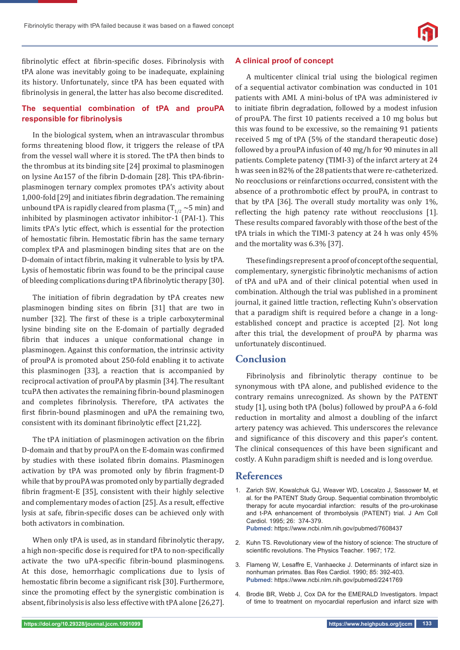

fibrinolytic effect at fibrin-specific doses. Fibrinolysis with tPA alone was inevitably going to be inadequate, explaining its history. Unfortunately, since tPA has been equated with fibrinolysis in general, the latter has also become discredited.

### **The sequential combination of tPA and prouPA responsible for fibrinolysis**

In the biological system, when an intravascular thrombus forms threatening blood flow, it triggers the release of tPA from the vessel wall where it is stored. The tPA then binds to the thrombus at its binding site [24] proximal to plasminogen on lysine  $A\alpha$ 157 of the fibrin D-domain [28]. This tPA-fibrinplasminogen ternary complex promotes tPA's activity about 1,000-fold [29] and initiates fibrin degradation. The remaining unbound tPA is rapidly cleared from plasma  $(T_{1/2} \sim 5 \text{ min})$  and inhibited by plasminogen activator inhibitor-1 (PAI-1). This limits tPA's lytic effect, which is essential for the protection of hemostatic fibrin. Hemostatic fibrin has the same ternary complex tPA and plasminogen binding sites that are on the D-domain of intact fibrin, making it vulnerable to lysis by tPA. Lysis of hemostatic fibrin was found to be the principal cause of bleeding complications during tPA fibrinolytic therapy [30].

The initiation of fibrin degradation by tPA creates new plasminogen binding sites on fibrin [31] that are two in number [32]. The first of these is a triple carboxyterminal lysine binding site on the E-domain of partially degraded fibrin that induces a unique conformational change in plasminogen. Against this conformation, the intrinsic activity of prouPA is promoted about 250-fold enabling it to activate this plasminogen [33], a reaction that is accompanied by reciprocal activation of prouPA by plasmin [34]. The resultant tcuPA then activates the remaining fibrin-bound plasminogen and completes fibrinolysis. Therefore, tPA activates the first fibrin-bound plasminogen and uPA the remaining two, consistent with its dominant fibrinolytic effect [21,22].

The tPA initiation of plasminogen activation on the fibrin D-domain and that by prouPA on the E-domain was confirmed by studies with these isolated fibrin domains. Plasminogen activation by tPA was promoted only by fibrin fragment-D while that by prouPA was promoted only by partially degraded fibrin fragment-E [35], consistent with their highly selective and complementary modes of action [25]. As a result, effective lysis at safe, fibrin-specific doses can be achieved only with both activators in combination.

When only tPA is used, as in standard fibrinolytic therapy, a high non-specific dose is required for tPA to non-specifically activate the two uPA-specific fibrin-bound plasminogens. At this dose, hemorrhagic complications due to lysis of hemostatic fibrin become a significant risk [30]. Furthermore, since the promoting effect by the synergistic combination is absent, fibrinolysis is also less effective with tPA alone [26,27].

#### **A clinical proof of concept**

A multicenter clinical trial using the biological regimen of a sequential activator combination was conducted in 101 patients with AMI. A mini-bolus of tPA was administered iv to initiate fibrin degradation, followed by a modest infusion of prouPA. The first 10 patients received a 10 mg bolus but this was found to be excessive, so the remaining 91 patients received 5 mg of tPA (5% of the standard therapeutic dose) followed by a prouPA infusion of 40 mg/h for 90 minutes in all patients. Complete patency (TIMI-3) of the infarct artery at 24 h was seen in 82% of the 28 patients that were re-catheterized. No reocclusions or reinfarctions occurred, consistent with the absence of a prothrombotic effect by prouPA, in contrast to that by tPA [36]. The overall study mortality was only 1%, reflecting the high patency rate without reocclusions [1]. These results compared favorably with those of the best of the tPA trials in which the TIMI-3 patency at 24 h was only 45% and the mortality was 6.3% [37].

These findings represent a proof of concept of the sequential, complementary, synergistic fibrinolytic mechanisms of action of tPA and uPA and of their clinical potential when used in combination. Although the trial was published in a prominent journal, it gained little traction, reflecting Kuhn's observation that a paradigm shift is required before a change in a longestablished concept and practice is accepted [2]. Not long after this trial, the development of prouPA by pharma was unfortunately discontinued.

# **Conclusion**

Fibrinolysis and fibrinolytic therapy continue to be synonymous with tPA alone, and published evidence to the contrary remains unrecognized. As shown by the PATENT study [1], using both tPA (bolus) followed by prouPA a 6-fold reduction in mortality and almost a doubling of the infarct artery patency was achieved. This underscores the relevance and significance of this discovery and this paper's content. The clinical consequences of this have been significant and costly. A Kuhn paradigm shift is needed and is long overdue.

#### **References**

- 1. Zarich SW, Kowalchuk GJ, Weaver WD, Loscalzo J, Sassower M, et al. for the PATENT Study Group. Sequential combination thrombolytic therapy for acute myocardial infarction: results of the pro-urokinase and t-PA enhancement of thrombolysis (PATENT) trial. J Am Coll Cardiol. 1995; 26: 374-379. **Pubmed:** https://www.ncbi.nlm.nih.gov/pubmed/7608437
- 2. Kuhn TS. Revolutionary view of the history of science: The structure of scientific revolutions. The Physics Teacher. 1967; 172.
- 3. Flameng W, Lesaffre E, Vanhaecke J. Determinants of infarct size in nonhuman primates. Bas Res Cardiol. 1990; 85: 392-403. **Pubmed:** https://www.ncbi.nlm.nih.gov/pubmed/2241769
- 4. Brodie BR, Webb J, Cox DA for the EMERALD Investigators. Impact of time to treatment on myocardial reperfusion and infarct size with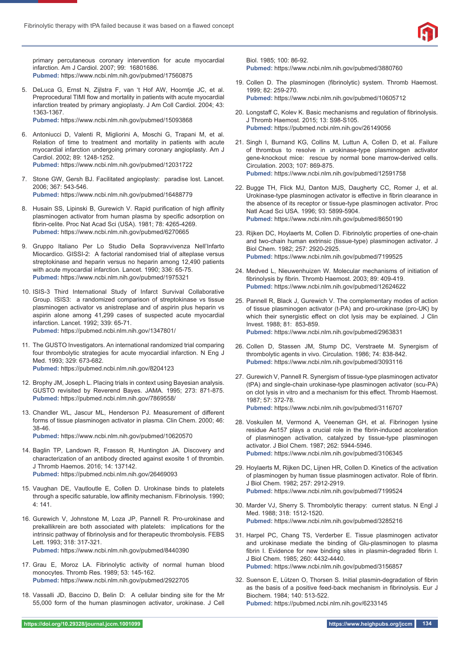

primary percutaneous coronary intervention for acute myocardial infarction. Am J Cardiol. 2007; 99: 16801686. **Pubmed:** https://www.ncbi.nlm.nih.gov/pubmed/17560875

5. DeLuca G, Ernst N, Zijlstra F, van 't Hof AW, Hoorntje JC, et al. Preprocedural TIMI flow and mortality in patients with acute myocardial infarction treated by primary angioplasty. J Am Coll Cardiol. 2004; 43: 1363-1367.

**Pubmed:** https://www.ncbi.nlm.nih.gov/pubmed/15093868

- 6. Antoniucci D, Valenti R, Migliorini A, Moschi G, Trapani M, et al. Relation of time to treatment and mortality in patients with acute myocardial infarction undergoing primary coronary angioplasty. Am J Cardiol. 2002; 89: 1248-1252. **Pubmed:** https://www.ncbi.nlm.nih.gov/pubmed/12031722
- 7. Stone GW, Gersh BJ. Facilitated angioplasty: paradise lost. Lancet. 2006; 367: 543-546. **Pubmed:** https://www.ncbi.nlm.nih.gov/pubmed/16488779
- 8. Husain SS, Lipinski B, Gurewich V. Rapid purification of high affinity plasminogen activator from human plasma by specific adsorption on fibrin-celite. Proc Nat Acad Sci (USA). 1981; 78: 4265-4269. **Pubmed:** https://www.ncbi.nlm.nih.gov/pubmed/6270665
- 9. Gruppo Italiano Per Lo Studio Della Sopravvivenza Nell'Infarto Miocardico. GISSI-2: A factorial randomised trial of alteplase versus streptokinase and heparin versus no heparin among 12,490 patients with acute myocardial infarction. Lancet. 1990; 336: 65-75. **Pubmed:** https://www.ncbi.nlm.nih.gov/pubmed/1975321
- 10. ISIS-3 Third International Study of Infarct Survival Collaborative Group. ISIS3: a randomized comparison of streptokinase vs tissue plasminogen activator vs anistreplase and of aspirin plus heparin vs aspirin alone among 41,299 cases of suspected acute myocardial infarction. Lancet. 1992; 339: 65-71. **Pubmed:** https://pubmed.ncbi.nlm.nih.gov/1347801/
- 11. The GUSTO Investigators. An international randomized trial comparing four thrombolytic strategies for acute myocardial infarction. N Eng J Med. 1993; 329: 673-682. **Pubmed:** https://pubmed.ncbi.nlm.nih.gov/8204123

- 12. Brophy JM, Joseph L. Placing trials in context using Bayesian analysis. GUSTO revisited by Reverend Bayes. JAMA. 1995; 273: 871-875. **Pubmed:** https://pubmed.ncbi.nlm.nih.gov/7869558/
- 13. Chandler WL, Jascur ML, Henderson PJ. Measurement of different forms of tissue plasminogen activator in plasma. Clin Chem. 2000; 46: 38-46.

**Pubmed:** https://www.ncbi.nlm.nih.gov/pubmed/10620570

- 14. Baglin TP, Landown R, Frasson R, Huntington JA. Discovery and characterization of an antibody directed against exosite 1 of thrombin. J Thromb Haemos. 2016; 14: 137142. **Pubmed:** https://pubmed.ncbi.nlm.nih.gov/26469093
- 15. Vaughan DE, Vautloutle E, Collen D. Urokinase binds to platelets through a specific saturable, low affinity mechanism. Fibrinolysis. 1990; 4: 141.
- 16. Gurewich V, Johnstone M, Loza JP, Pannell R. Pro-urokinase and prekallikrein are both associated with platelets: implications for the intrinsic pathway of fibrinolysis and for therapeutic thrombolysis. FEBS Lett. 1993; 318: 317-321. **Pubmed:** https://www.ncbi.nlm.nih.gov/pubmed/8440390
- 17. Grau E, Moroz LA. Fibrinolytic activity of normal human blood monocytes. Thromb Res. 1989; 53: 145-162. **Pubmed:** https://www.ncbi.nlm.nih.gov/pubmed/2922705
- 18. Vassalli JD, Baccino D, Belin D: A cellular binding site for the Mr 55,000 form of the human plasminogen activator, urokinase. J Cell

Biol. 1985; 100: 86-92.

**Pubmed:** https://www.ncbi.nlm.nih.gov/pubmed/3880760

- 19. Collen D. The plasminogen (fibrinolytic) system. Thromb Haemost. 1999; 82: 259-270. **Pubmed:** https://www.ncbi.nlm.nih.gov/pubmed/10605712
- 20. Longstaff C, Kolev K. Basic mechanisms and regulation of fibrinolysis. J Thromb Haemost. 2015; 13: S98-S105. **Pubmed:** https://pubmed.ncbi.nlm.nih.gov/26149056
- 21. Singh I, Burnand KG, Collins M, Luttun A, Collen D, et al. Failure of thrombus to resolve in urokinase-type plasminogen activator gene-knockout mice: rescue by normal bone marrow-derived cells. Circulation. 2003; 107: 869-875. **Pubmed:** https://www.ncbi.nlm.nih.gov/pubmed/12591758
- 22. Bugge TH, Flick MJ, Danton MJS, Daugherty CC, Romer J, et al. Urokinase-type plasminogen activator is effective in fibrin clearance in the absence of its receptor or tissue-type plasminogen activator. Proc Natl Acad Sci USA. 1996; 93: 5899-5904. **Pubmed:** https://www.ncbi.nlm.nih.gov/pubmed/8650190
- 23. Rijken DC, Hoylaerts M, Collen D. Fibrinolytic properties of one-chain and two-chain human extrinsic (tissue-type) plasminogen activator. J Biol Chem. 1982; 257: 2920-2925. **Pubmed:** https://www.ncbi.nlm.nih.gov/pubmed/7199525
- 24. Medved L, Nieuwenhuizen W. Molecular mechanisms of initiation of fibrinolysis by fibrin. Thromb Haemost. 2003; 89: 409-419. **Pubmed:** https://www.ncbi.nlm.nih.gov/pubmed/12624622
- 25. Pannell R, Black J, Gurewich V. The complementary modes of action of tissue plasminogen activator (t-PA) and pro-urokinase (pro-UK) by which their synergistic effect on clot lysis may be explained. J Clin Invest. 1988; 81: 853-859. **Pubmed:** https://www.ncbi.nlm.nih.gov/pubmed/2963831
- 26. Collen D, Stassen JM, Stump DC, Verstraete M. Synergism of thrombolytic agents in vivo. Circulation. 1986; 74: 838-842. **Pubmed:** https://www.ncbi.nlm.nih.gov/pubmed/3093116
- 27. Gurewich V, Pannell R. Synergism of tissue-type plasminogen activator (tPA) and single-chain urokinase-type plasminogen activator (scu-PA) on clot lysis in vitro and a mechanism for this effect. Thromb Haemost. 1987; 57: 372-78. **Pubmed:** https://www.ncbi.nlm.nih.gov/pubmed/3116707
- 28. Voskuilen M, Vermond A, Veeneman GH, et al. Fibrinogen lysine residue Aα157 plays a crucial role in the fibrin-induced acceleration of plasminogen activation, catalyzed by tissue-type plasminogen activator. J Biol Chem. 1987; 262: 5944-5946. **Pubmed:** https://www.ncbi.nlm.nih.gov/pubmed/3106345
- 29. Hoylaerts M, Rijken DC, Lijnen HR, Collen D. Kinetics of the activation of plasminogen by human tissue plasminogen activator. Role of fibrin. J Biol Chem. 1982; 257: 2912-2919. **Pubmed:** https://www.ncbi.nlm.nih.gov/pubmed/7199524
- 30. Marder VJ, Sherry S. Thrombolytic therapy: current status. N Engl J Med. 1988; 318: 1512-1520. **Pubmed:** https://www.ncbi.nlm.nih.gov/pubmed/3285216
- 31. Harpel PC, Chang TS, Verderber E. Tissue plasminogen activator and urokinase mediate the binding of Glu-plasminogen to plasma fibrin I. Evidence for new binding sites in plasmin-degraded fibrin I. J Biol Chem. 1985; 260: 4432-4440. **Pubmed:** https://www.ncbi.nlm.nih.gov/pubmed/3156857
- 32. Suenson E, Lützen O, Thorsen S. Initial plasmin-degradation of fibrin as the basis of a positive feed-back mechanism in fibrinolysis. Eur J Biochem. 1984; 140: 513-522. **Pubmed:** https://pubmed.ncbi.nlm.nih.gov/6233145